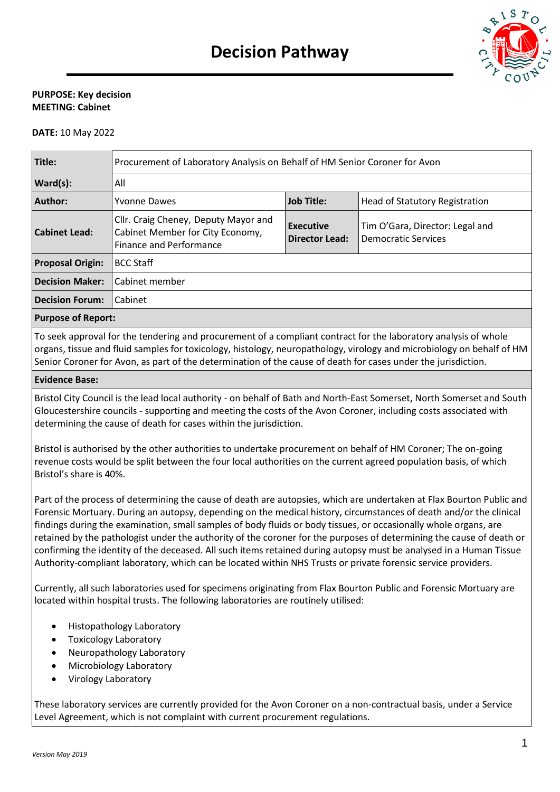

## **PURPOSE: Key decision MEETING: Cabinet**

**DATE:** 10 May 2022

| Title:                  | Procurement of Laboratory Analysis on Behalf of HM Senior Coroner for Avon                                 |                                    |                                                        |  |  |
|-------------------------|------------------------------------------------------------------------------------------------------------|------------------------------------|--------------------------------------------------------|--|--|
| Ward(s):                | All                                                                                                        |                                    |                                                        |  |  |
| Author:                 | <b>Yvonne Dawes</b>                                                                                        | <b>Job Title:</b>                  | Head of Statutory Registration                         |  |  |
| Cabinet Lead:           | Cllr. Craig Cheney, Deputy Mayor and<br>Cabinet Member for City Economy,<br><b>Finance and Performance</b> | Executive<br><b>Director Lead:</b> | Tim O'Gara, Director: Legal and<br>Democratic Services |  |  |
| <b>Proposal Origin:</b> | <b>BCC Staff</b>                                                                                           |                                    |                                                        |  |  |
| <b>Decision Maker:</b>  | Cabinet member                                                                                             |                                    |                                                        |  |  |
| <b>Decision Forum:</b>  | Cabinet                                                                                                    |                                    |                                                        |  |  |
|                         |                                                                                                            |                                    |                                                        |  |  |

#### **Purpose of Report:**

To seek approval for the tendering and procurement of a compliant contract for the laboratory analysis of whole organs, tissue and fluid samples for toxicology, histology, neuropathology, virology and microbiology on behalf of HM Senior Coroner for Avon, as part of the determination of the cause of death for cases under the jurisdiction.

## **Evidence Base:**

Bristol City Council is the lead local authority - on behalf of Bath and North-East Somerset, North Somerset and South Gloucestershire councils - supporting and meeting the costs of the Avon Coroner, including costs associated with determining the cause of death for cases within the jurisdiction.

Bristol is authorised by the other authorities to undertake procurement on behalf of HM Coroner; The on-going revenue costs would be split between the four local authorities on the current agreed population basis, of which Bristol's share is 40%.

Part of the process of determining the cause of death are autopsies, which are undertaken at Flax Bourton Public and Forensic Mortuary. During an autopsy, depending on the medical history, circumstances of death and/or the clinical findings during the examination, small samples of body fluids or body tissues, or occasionally whole organs, are retained by the pathologist under the authority of the coroner for the purposes of determining the cause of death or confirming the identity of the deceased. All such items retained during autopsy must be analysed in a Human Tissue Authority-compliant laboratory, which can be located within NHS Trusts or private forensic service providers.

Currently, all such laboratories used for specimens originating from Flax Bourton Public and Forensic Mortuary are located within hospital trusts. The following laboratories are routinely utilised:

- Histopathology Laboratory
- Toxicology Laboratory
- Neuropathology Laboratory
- Microbiology Laboratory
- Virology Laboratory

These laboratory services are currently provided for the Avon Coroner on a non-contractual basis, under a Service Level Agreement, which is not complaint with current procurement regulations.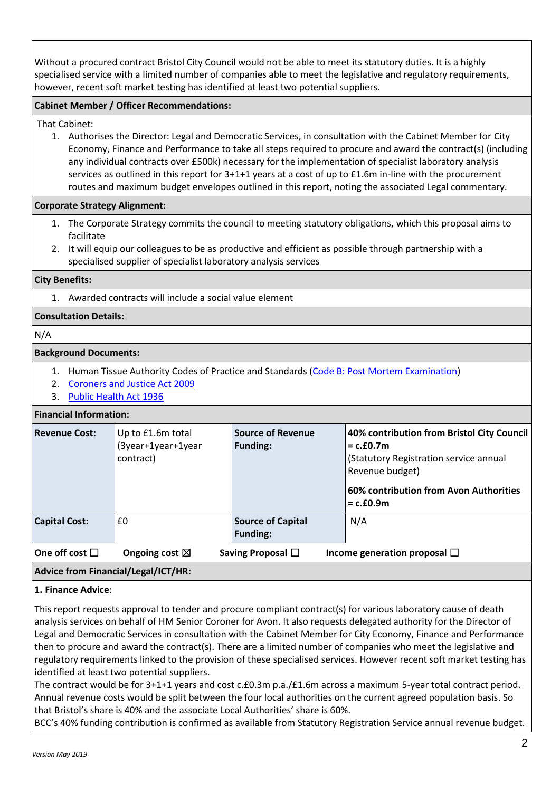Without a procured contract Bristol City Council would not be able to meet its statutory duties. It is a highly specialised service with a limited number of companies able to meet the legislative and regulatory requirements, however, recent soft market testing has identified at least two potential suppliers.

## **Cabinet Member / Officer Recommendations:**

That Cabinet:

1. Authorises the Director: Legal and Democratic Services, in consultation with the Cabinet Member for City Economy, Finance and Performance to take all steps required to procure and award the contract(s) (including any individual contracts over £500k) necessary for the implementation of specialist laboratory analysis services as outlined in this report for 3+1+1 years at a cost of up to £1.6m in-line with the procurement routes and maximum budget envelopes outlined in this report, noting the associated Legal commentary.

## **Corporate Strategy Alignment:**

- 1. The Corporate Strategy commits the council to meeting statutory obligations, which this proposal aims to facilitate
- 2. It will equip our colleagues to be as productive and efficient as possible through partnership with a specialised supplier of specialist laboratory analysis services

#### **City Benefits:**

1. Awarded contracts will include a social value element

## **Consultation Details:**

N/A

#### **Background Documents:**

- 1. Human Tissue Authority Codes of Practice and Standards [\(Code B: Post Mortem Examination\)](https://content.hta.gov.uk/sites/default/files/2020-11/Code%20B.pdf)
- 2. [Coroners and Justice Act 2009](https://www.legislation.gov.uk/ukpga/2009/25/contents)
- 3. [Public Health Act 1936](https://www.legislation.gov.uk/ukpga/Geo5and1Edw8/26/49/contents)

#### **Financial Information:**

| <b>Revenue Cost:</b>         | Up to £1.6m total<br>(3year+1year+1year<br>contract) | <b>Source of Revenue</b><br><b>Funding:</b> | 40% contribution from Bristol City Council<br>$= c.f.0.7m$<br>(Statutory Registration service annual<br>Revenue budget)<br>60% contribution from Avon Authorities<br>$= c.f.0.9m$ |
|------------------------------|------------------------------------------------------|---------------------------------------------|-----------------------------------------------------------------------------------------------------------------------------------------------------------------------------------|
| <b>Capital Cost:</b>         | £0                                                   | <b>Source of Capital</b><br><b>Funding:</b> | N/A                                                                                                                                                                               |
| $\sf{I}$ One off cost $\Box$ | Ongoing cost $\boxtimes$                             | Saving Proposal $\Box$                      | Income generation proposal $\square$                                                                                                                                              |

# **Advice from Financial/Legal/ICT/HR:**

#### **1. Finance Advice**:

This report requests approval to tender and procure compliant contract(s) for various laboratory cause of death analysis services on behalf of HM Senior Coroner for Avon. It also requests delegated authority for the Director of Legal and Democratic Services in consultation with the Cabinet Member for City Economy, Finance and Performance then to procure and award the contract(s). There are a limited number of companies who meet the legislative and regulatory requirements linked to the provision of these specialised services. However recent soft market testing has identified at least two potential suppliers.

The contract would be for 3+1+1 years and cost c.£0.3m p.a./£1.6m across a maximum 5-year total contract period. Annual revenue costs would be split between the four local authorities on the current agreed population basis. So that Bristol's share is 40% and the associate Local Authorities' share is 60%.

BCC's 40% funding contribution is confirmed as available from Statutory Registration Service annual revenue budget.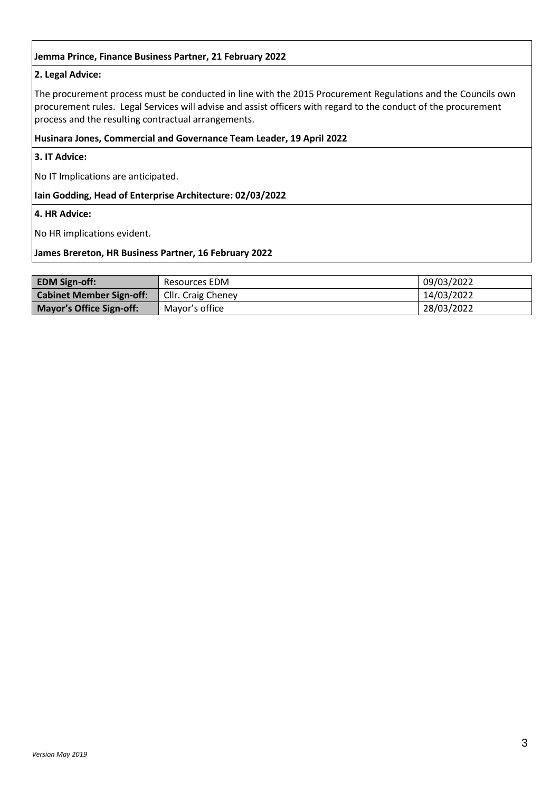## **Jemma Prince, Finance Business Partner, 21 February 2022**

# **2. Legal Advice:**

The procurement process must be conducted in line with the 2015 Procurement Regulations and the Councils own procurement rules. Legal Services will advise and assist officers with regard to the conduct of the procurement process and the resulting contractual arrangements.

## **Husinara Jones, Commercial and Governance Team Leader, 19 April 2022**

**3. IT Advice:** 

No IT Implications are anticipated.

## **Iain Godding, Head of Enterprise Architecture: 02/03/2022**

**4. HR Advice:** 

No HR implications evident.

#### **James Brereton, HR Business Partner, 16 February 2022**

| <b>EDM Sign-off:</b>            | Resources EDM      | 09/03/2022 |
|---------------------------------|--------------------|------------|
| <b>Cabinet Member Sign-off:</b> | Cllr. Craig Cheney | 14/03/2022 |
| <b>Mayor's Office Sign-off:</b> | Mayor's office     | 28/03/2022 |